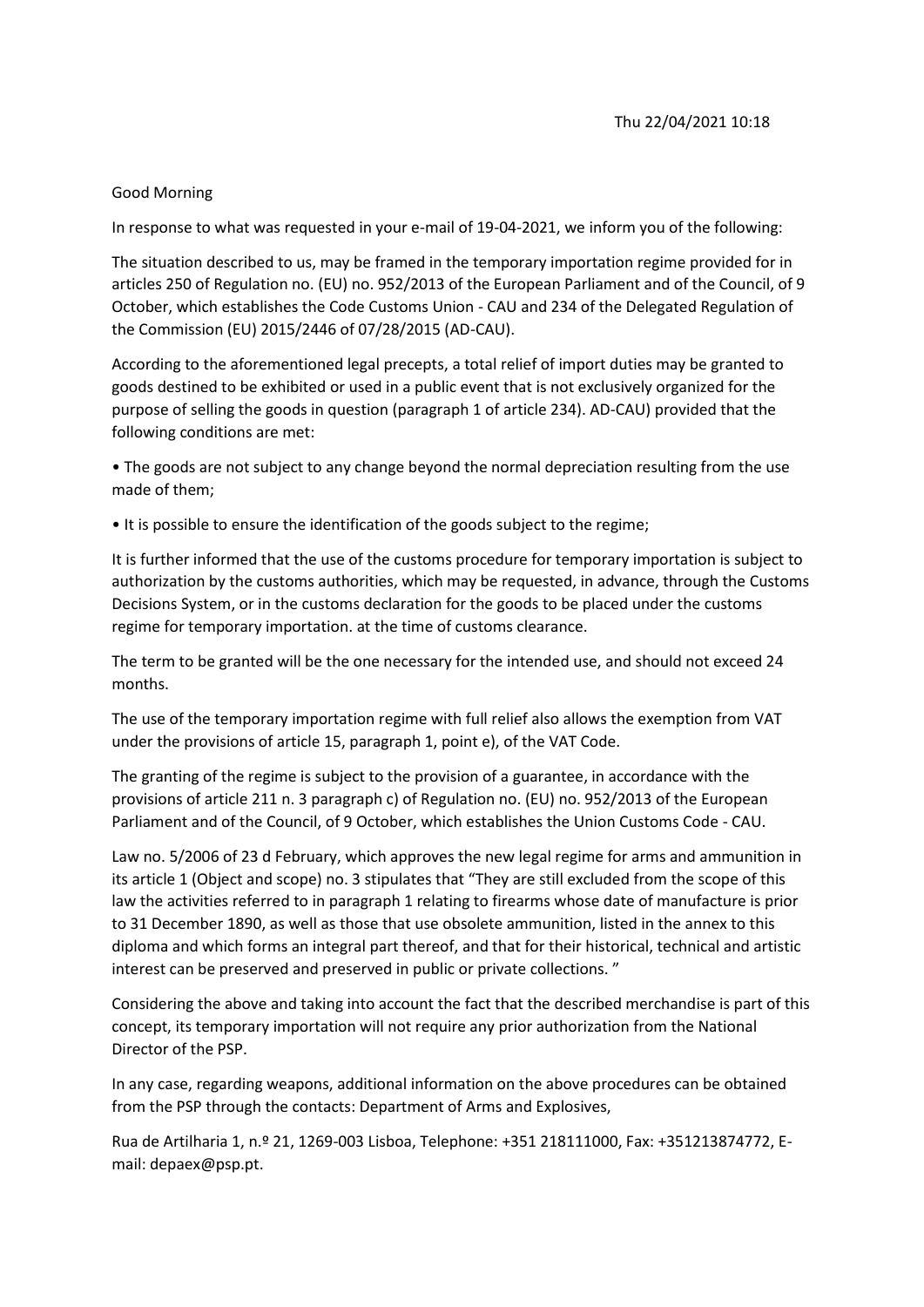## Good Morning

In response to what was requested in your e-mail of 19-04-2021, we inform you of the following:

The situation described to us, may be framed in the temporary importation regime provided for in articles 250 of Regulation no. (EU) no. 952/2013 of the European Parliament and of the Council, of 9 October, which establishes the Code Customs Union - CAU and 234 of the Delegated Regulation of the Commission (EU) 2015/2446 of 07/28/2015 (AD-CAU).

According to the aforementioned legal precepts, a total relief of import duties may be granted to goods destined to be exhibited or used in a public event that is not exclusively organized for the purpose of selling the goods in question (paragraph 1 of article 234). AD-CAU) provided that the following conditions are met:

• The goods are not subject to any change beyond the normal depreciation resulting from the use made of them;

• It is possible to ensure the identification of the goods subject to the regime;

It is further informed that the use of the customs procedure for temporary importation is subject to authorization by the customs authorities, which may be requested, in advance, through the Customs Decisions System, or in the customs declaration for the goods to be placed under the customs regime for temporary importation. at the time of customs clearance.

The term to be granted will be the one necessary for the intended use, and should not exceed 24 months.

The use of the temporary importation regime with full relief also allows the exemption from VAT under the provisions of article 15, paragraph 1, point e), of the VAT Code.

The granting of the regime is subject to the provision of a guarantee, in accordance with the provisions of article 211 n. 3 paragraph c) of Regulation no. (EU) no. 952/2013 of the European Parliament and of the Council, of 9 October, which establishes the Union Customs Code - CAU.

Law no. 5/2006 of 23 d February, which approves the new legal regime for arms and ammunition in its article 1 (Object and scope) no. 3 stipulates that "They are still excluded from the scope of this law the activities referred to in paragraph 1 relating to firearms whose date of manufacture is prior to 31 December 1890, as well as those that use obsolete ammunition, listed in the annex to this diploma and which forms an integral part thereof, and that for their historical, technical and artistic interest can be preserved and preserved in public or private collections. "

Considering the above and taking into account the fact that the described merchandise is part of this concept, its temporary importation will not require any prior authorization from the National Director of the PSP.

In any case, regarding weapons, additional information on the above procedures can be obtained from the PSP through the contacts: Department of Arms and Explosives,

Rua de Artilharia 1, n.º 21, 1269-003 Lisboa, Telephone: +351 218111000, Fax: +351213874772, Email: depaex@psp.pt.